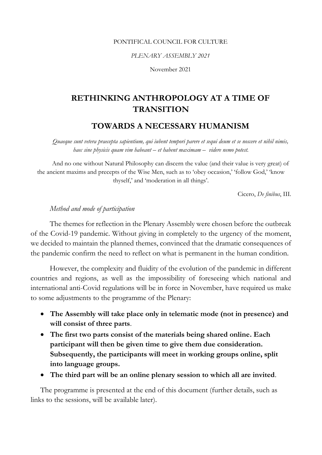#### PONTIFICAL COUNCIL FOR CULTURE

*PLENARY ASSEMBLY 2021*

November 2021

# **RETHINKING ANTHROPOLOGY AT A TIME OF TRANSITION**

# **TOWARDS A NECESSARY HUMANISM**

*Quaeque sunt vetera praecepta sapientium, qui iubent tempori parere et sequi deum et se noscere et nihil nimis, haec sine physicis quam vim habeant – et habent maximam – videre nemo potest.*

And no one without Natural Philosophy can discern the value (and their value is very great) of the ancient maxims and precepts of the Wise Men, such as to 'obey occasion,' 'follow God,' 'know thyself,' and 'moderation in all things'.

Cicero, *De finibus*, III.

# *Method and mode of participation*

The themes for reflection in the Plenary Assembly were chosen before the outbreak of the Covid-19 pandemic. Without giving in completely to the urgency of the moment, we decided to maintain the planned themes, convinced that the dramatic consequences of the pandemic confirm the need to reflect on what is permanent in the human condition.

However, the complexity and fluidity of the evolution of the pandemic in different countries and regions, as well as the impossibility of foreseeing which national and international anti-Covid regulations will be in force in November, have required us make to some adjustments to the programme of the Plenary:

- **The Assembly will take place only in telematic mode (not in presence) and will consist of three parts**.
- **The first two parts consist of the materials being shared online. Each participant will then be given time to give them due consideration. Subsequently, the participants will meet in working groups online, split into language groups.**
- **The third part will be an online plenary session to which all are invited**.

The programme is presented at the end of this document (further details, such as links to the sessions, will be available later).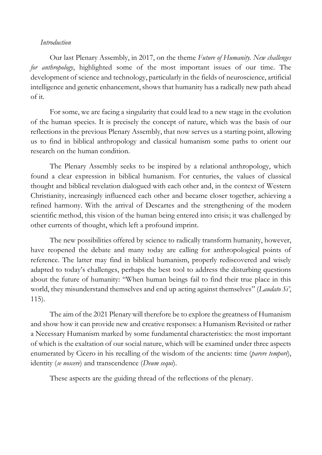## *Introduction*

Our last Plenary Assembly, in 2017, on the theme *Future of Humanity. New challenges for anthropology*, highlighted some of the most important issues of our time. The development of science and technology, particularly in the fields of neuroscience, artificial intelligence and genetic enhancement, shows that humanity has a radically new path ahead of it.

For some, we are facing a singularity that could lead to a new stage in the evolution of the human species. It is precisely the concept of nature, which was the basis of our reflections in the previous Plenary Assembly, that now serves us a starting point, allowing us to find in biblical anthropology and classical humanism some paths to orient our research on the human condition.

The Plenary Assembly seeks to be inspired by a relational anthropology, which found a clear expression in biblical humanism. For centuries, the values of classical thought and biblical revelation dialogued with each other and, in the context of Western Christianity, increasingly influenced each other and became closer together, achieving a refined harmony. With the arrival of Descartes and the strengthening of the modern scientific method, this vision of the human being entered into crisis; it was challenged by other currents of thought, which left a profound imprint.

The new possibilities offered by science to radically transform humanity, however, have reopened the debate and many today are calling for anthropological points of reference. The latter may find in biblical humanism, properly rediscovered and wisely adapted to today's challenges, perhaps the best tool to address the disturbing questions about the future of humanity: "When human beings fail to find their true place in this world, they misunderstand themselves and end up acting against themselves" (*Laudato Si'*, 115).

The aim of the 2021 Plenary will therefore be to explore the greatness of Humanism and show how it can provide new and creative responses: a Humanism Revisited or rather a Necessary Humanism marked by some fundamental characteristics: the most important of which is the exaltation of our social nature, which will be examined under three aspects enumerated by Cicero in his recalling of the wisdom of the ancients: time (*parere tempori*), identity (*se noscere*) and transcendence (*Deum sequi*).

These aspects are the guiding thread of the reflections of the plenary.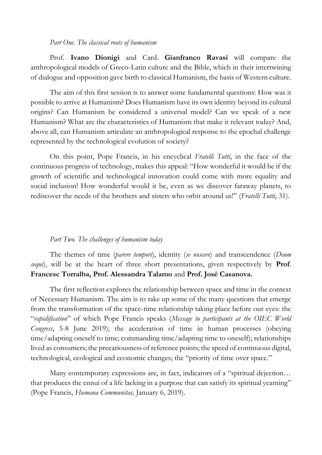#### *Part One. The classical roots of humanism*

Prof. **Ivano Dionigi** and Card. **Gianfranco Ravasi** will compare the anthropological models of Greco-Latin culture and the Bible, which in their intertwining of dialogue and opposition gave birth to classical Humanism, the basis of Western culture.

The aim of this first session is to answer some fundamental questions: How was it possible to arrive at Humanism? Does Humanism have its own identity beyond its cultural origins? Can Humanism be considered a universal model? Can we speak of a new Humanism? What are the characteristics of Humanism that make it relevant today? And, above all, can Humanism articulate an anthropological response to the epochal challenge represented by the technological evolution of society?

On this point, Pope Francis, in his encyclical *Fratelli Tutti*, in the face of the continuous progress of technology, makes this appeal: "How wonderful it would be if the growth of scientific and technological innovation could come with more equality and social inclusion! How wonderful would it be, even as we discover faraway planets, to rediscover the needs of the brothers and sisters who orbit around us!" (*Fratelli Tutti*, 31).

### *Part Two. The challenges of humanism today*

The themes of time (*parere tempori*), identity (*se noscere*) and transcendence (*Deum sequi*), will be at the heart of three short presentations, given respectively by **Prof**. **Francesc Torralba, Prof. Alessandra Talamo** and **Prof. José Casanova.**

The first reflection explores the relationship between space and time in the context of Necessary Humanism. The aim is to take up some of the many questions that emerge from the transformation of the space-time relationship taking place before our eyes: the "*rapidification*" of which Pope Francis speaks (*Message to participants at the OIEC World Congress*, 5-8 June 2019); the acceleration of time in human processes (obeying time/adapting oneself to time; commanding time/adapting time to oneself); relationships lived as consumers; the precariousness of reference points; the speed of continuous digital, technological, ecological and economic changes; the "priority of time over space."

Many contemporary expressions are, in fact, indicators of a "spiritual dejection... that produces the ennui of a life lacking in a purpose that can satisfy its spiritual yearning" (Pope Francis, *Humana Communitas,* January 6, 2019).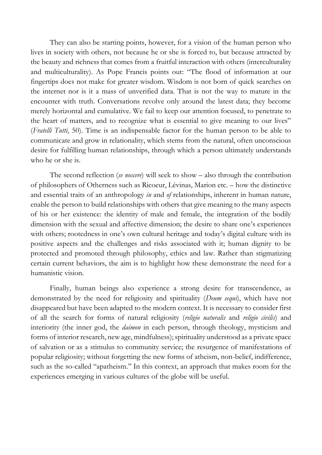They can also be starting points, however, for a vision of the human person who lives in society with others, not because he or she is forced to, but because attracted by the beauty and richness that comes from a fruitful interaction with others (interculturality and multiculturality). As Pope Francis points out: "The flood of information at our fingertips does not make for greater wisdom. Wisdom is not born of quick searches on the internet nor is it a mass of unverified data. That is not the way to mature in the encounter with truth. Conversations revolve only around the latest data; they become merely horizontal and cumulative. We fail to keep our attention focused, to penetrate to the heart of matters, and to recognize what is essential to give meaning to our lives" (*Fratelli Tutti*, 50). Time is an indispensable factor for the human person to be able to communicate and grow in relationality, which stems from the natural, often unconscious desire for fulfilling human relationships, through which a person ultimately understands who he or she is.

The second reflection (*se noscere*) will seek to show – also through the contribution of philosophers of Otherness such as Ricoeur, Lévinas, Marion etc. – how the distinctive and essential traits of an anthropology *in* and *of* relationships, inherent in human nature, enable the person to build relationships with others that give meaning to the many aspects of his or her existence: the identity of male and female, the integration of the bodily dimension with the sexual and affective dimension; the desire to share one's experiences with others; rootedness in one's own cultural heritage and today's digital culture with its positive aspects and the challenges and risks associated with it; human dignity to be protected and promoted through philosophy, ethics and law. Rather than stigmatizing certain current behaviors, the aim is to highlight how these demonstrate the need for a humanistic vision.

Finally, human beings also experience a strong desire for transcendence, as demonstrated by the need for religiosity and spirituality (*Deum sequi*), which have not disappeared but have been adapted to the modern context. It is necessary to consider first of all the search for forms of natural religiosity (*religio naturalis* and *religio civilis*) and interiority (the inner god, the *daimon* in each person, through theology, mysticism and forms of interior research, new age, mindfulness); spirituality understood as a private space of salvation or as a stimulus to community service; the resurgence of manifestations of popular religiosity; without forgetting the new forms of atheism, non-belief, indifference, such as the so-called "apatheism." In this context, an approach that makes room for the experiences emerging in various cultures of the globe will be useful.